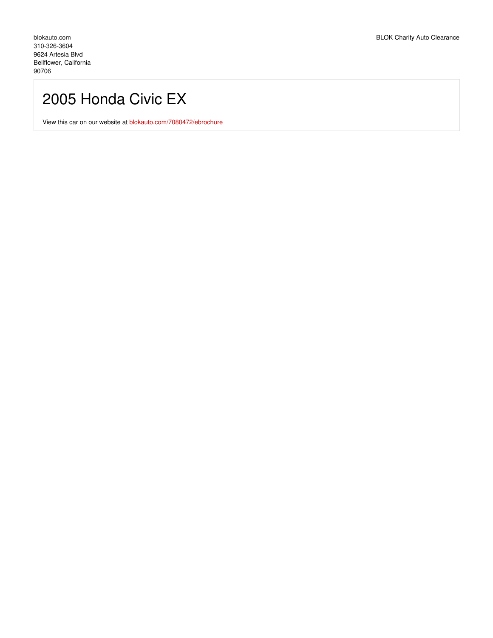## 2005 Honda Civic EX

View this car on our website at [blokauto.com/7080472/ebrochure](https://blokauto.com/vehicle/7080472/2005-honda-civic-ex-bellflower-california-90706/7080472/ebrochure)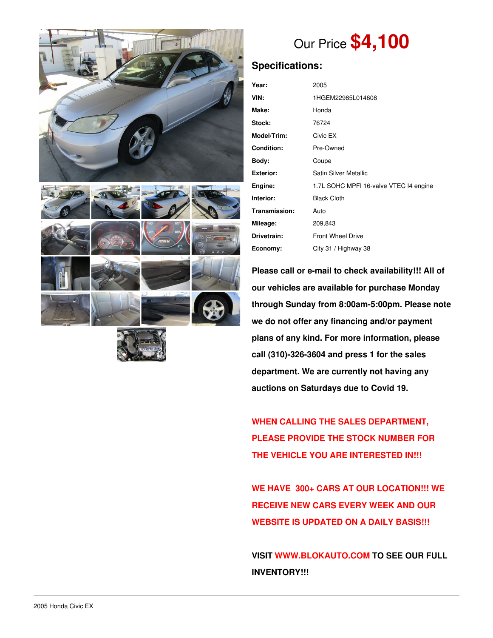





# Our Price **\$4,100**

## **Specifications:**

| Year:              | 2005                                   |  |  |  |  |
|--------------------|----------------------------------------|--|--|--|--|
| VIN:               | 1HGEM22985L014608                      |  |  |  |  |
| Make:              | Honda                                  |  |  |  |  |
| Stock:             | 76724                                  |  |  |  |  |
| <b>Model/Trim:</b> | Civic EX                               |  |  |  |  |
| <b>Condition:</b>  | Pre-Owned                              |  |  |  |  |
| Body:              | Coupe                                  |  |  |  |  |
| Exterior:          | Satin Silver Metallic                  |  |  |  |  |
| Engine:            | 1.7L SOHC MPFI 16-valve VTEC I4 engine |  |  |  |  |
| Interior:          | <b>Black Cloth</b>                     |  |  |  |  |
| Transmission:      | Auto                                   |  |  |  |  |
| Mileage:           | 209,843                                |  |  |  |  |
| Drivetrain:        | <b>Front Wheel Drive</b>               |  |  |  |  |
| Economy:           | City 31 / Highway 38                   |  |  |  |  |

**Please call or e-mail to check availability!!! All of our vehicles are available for purchase Monday through Sunday from 8:00am-5:00pm. Please note we do not offer any financing and/or payment plans of any kind. For more information, please call (310)-326-3604 and press 1 for the sales department. We are currently not having any auctions on Saturdays due to Covid 19.**

**WHEN CALLING THE SALES DEPARTMENT, PLEASE PROVIDE THE STOCK NUMBER FOR THE VEHICLE YOU ARE INTERESTED IN!!!**

**WE HAVE 300+ CARS AT OUR LOCATION!!! WE RECEIVE NEW CARS EVERY WEEK AND OUR WEBSITE IS UPDATED ON A DAILY BASIS!!!**

**VISIT [WWW.BLOKAUTO.COM](http://www.blockauto.com) TO SEE OUR FULL INVENTORY!!!**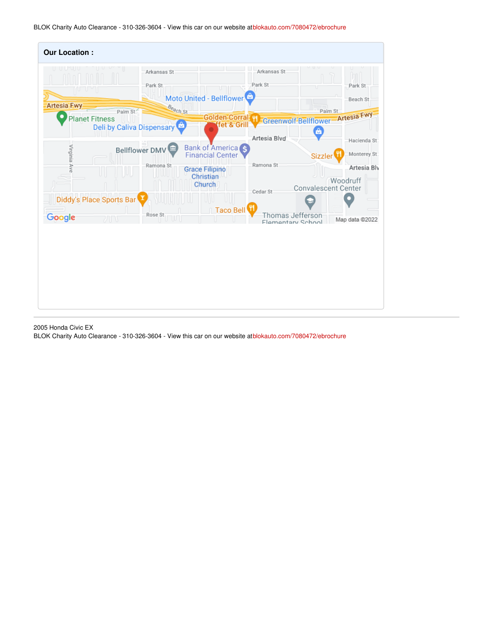BLOK Charity Auto Clearance - 310-326-3604 - View this car on our website at[blokauto.com/7080472/ebrochure](https://blokauto.com/vehicle/7080472/2005-honda-civic-ex-bellflower-california-90706/7080472/ebrochure)

| <b>Our Location:</b>     |                                  |                        |                                              |                        |                                       |                         |
|--------------------------|----------------------------------|------------------------|----------------------------------------------|------------------------|---------------------------------------|-------------------------|
| UU "                     |                                  | Arkansas St<br>Park St | Moto United - Bellflower                     | Arkansas St<br>Park St | U                                     | Park St<br>Beach St     |
| <b>Artesia Fwy</b>       | Palm St                          | Beach St               | <b>Golden Corral H</b>                       |                        | Palm St                               |                         |
| <b>Planet Fitness</b>    | <b>Deli by Caliva Dispensary</b> |                        | fet & Gril                                   |                        | Greenwolf-Bellflower-Artesia Fwy<br>â |                         |
|                          | <b>Bellflower DMV</b>            | m                      | <b>Bank of America</b>                       | Artesia Blvd           |                                       | Hacienda St             |
| Virginia Ave             |                                  |                        | <b>Financial Center</b>                      |                        | Sizzler                               | Monterey St:            |
|                          |                                  | Ramona St              | <b>Grace Filipino</b><br>Christian<br>Church | Ramona St<br>Cedar St  | <b>Convalescent Center</b>            | Artesia Bly<br>Woodruff |
| Diddy's Place Sports Bar |                                  |                        |                                              |                        |                                       |                         |
| Google                   | カロバ                              | Rose St                | Taco Bell                                    |                        | Thomas Jefferson<br>Flamentary School | Map data @2022          |
|                          |                                  |                        |                                              |                        |                                       |                         |

2005 Honda Civic EX

BLOK Charity Auto Clearance - 310-326-3604 - View this car on our website at[blokauto.com/7080472/ebrochure](https://blokauto.com/vehicle/7080472/2005-honda-civic-ex-bellflower-california-90706/7080472/ebrochure)